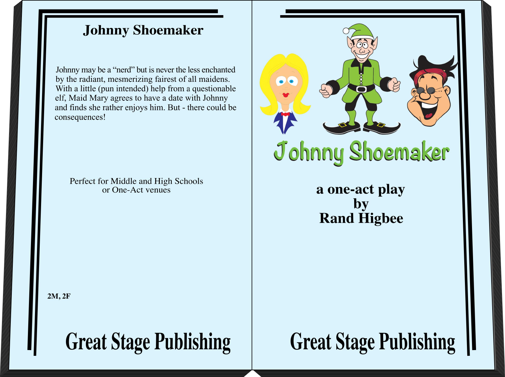## **Johnny Shoemaker**

Johnny may be a "nerd" but is never the less enchanted by the radiant, mesmerizing fairest of all maidens. With a little (pun intended) help from a questionable elf, Maid Mary agrees to have a date with Johnny and finds she rather enjoys him. But - there could be consequences!

Perfect for Middle and High Schools or One-Act venues

 $(z)$ Johnny Shoemaker

> a one-act play by **Rand Higbee**

 $2M, 2F$ 

**Great Stage Publishing** 

# **Great Stage Publishing**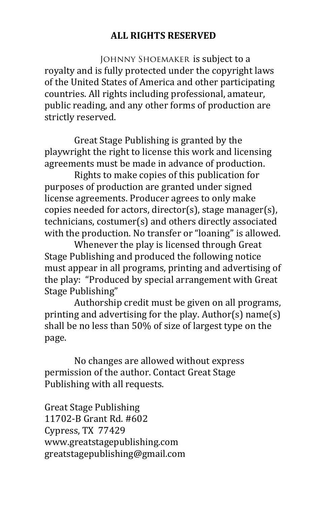#### **ALL RIGHTS RESERVED**

JOHNNY SHOEMAKER is subject to a royalty and is fully protected under the copyright laws of the United States of America and other participating countries. All rights including professional, amateur, public reading, and any other forms of production are strictly reserved.

Great Stage Publishing is granted by the playwright the right to license this work and licensing agreements must be made in advance of production.

Rights to make copies of this publication for purposes of production are granted under signed license agreements. Producer agrees to only make copies needed for actors, director(s), stage manager(s), technicians, costumer(s) and others directly associated with the production. No transfer or "loaning" is allowed.

Whenever the play is licensed through Great Stage Publishing and produced the following notice must appear in all programs, printing and advertising of the play: "Produced by special arrangement with Great Stage Publishing"

Authorship credit must be given on all programs, printing and advertising for the play. Author(s) name(s) shall be no less than 50% of size of largest type on the page.

No changes are allowed without express permission of the author. Contact Great Stage Publishing with all requests.

Great Stage Publishing 11702-B Grant Rd. #602 Cypress, TX 77429 www.greatstagepublishing.com! greatstagepublishing@gmail.com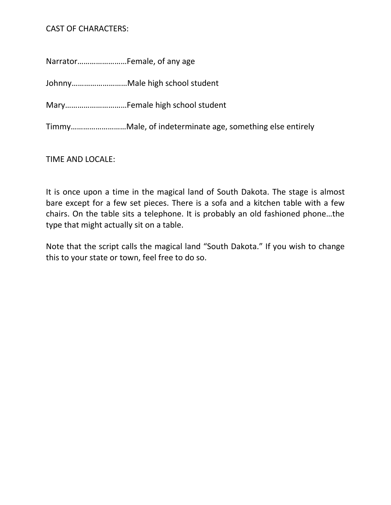### CAST OF CHARACTERS:

Narrator……………………Female, of any age

Johnny………………………Male high school student

Mary…………………………Female high school student

Timmy………………………Male, of indeterminate age, something else entirely

TIME AND LOCALE:

It is once upon a time in the magical land of South Dakota. The stage is almost bare except for a few set pieces. There is a sofa and a kitchen table with a few chairs. On the table sits a telephone. It is probably an old fashioned phone…the type that might actually sit on a table.

Note that the script calls the magical land "South Dakota." If you wish to change this to your state or town, feel free to do so.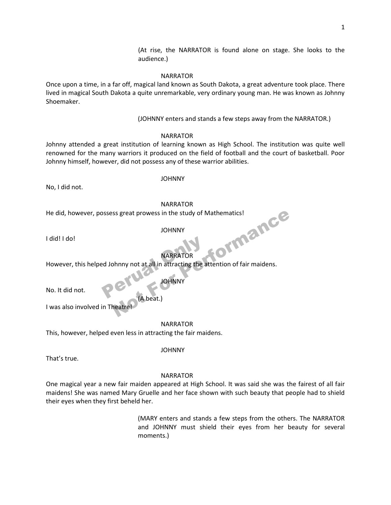(At rise, the NARRATOR is found alone on stage. She looks to the audience.)

#### NARRATOR

Once upon a time, in a far off, magical land known as South Dakota, a great adventure took place. There lived in magical South Dakota a quite unremarkable, very ordinary young man. He was known as Johnny Shoemaker.

(JOHNNY enters and stands a few steps away from the NARRATOR.)

NARRATOR

Johnny attended a great institution of learning known as High School. The institution was quite well renowned for the many warriors it produced on the field of football and the court of basketball. Poor Johnny himself, however, did not possess any of these warrior abilities.

No, I did not.

JOHNNY

NARRATOR

He did, however, possess great prowess in the study of Mathematics! ormance

JOHNNY

I did! I do!

NARRATOR

However, this helped Johnny not at all in attracting the attention of fair maidens. MARRATOR

No. It did not.

**JOHNNY** 

 (A beat.) I was also involved in Theatre!

NARRATOR

This, however, helped even less in attracting the fair maidens.

JOHNNY

That's true.

#### NARRATOR

One magical year a new fair maiden appeared at High School. It was said she was the fairest of all fair maidens! She was named Mary Gruelle and her face shown with such beauty that people had to shield their eyes when they first beheld her.

> (MARY enters and stands a few steps from the others. The NARRATOR and JOHNNY must shield their eyes from her beauty for several moments.)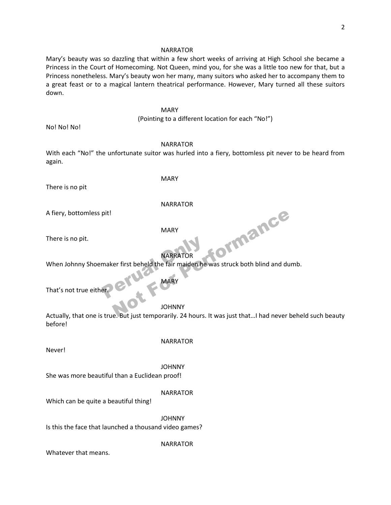#### NARRATOR

Mary's beauty was so dazzling that within a few short weeks of arriving at High School she became a Princess in the Court of Homecoming. Not Queen, mind you, for she was a little too new for that, but a Princess nonetheless. Mary's beauty won her many, many suitors who asked her to accompany them to a great feast or to a magical lantern theatrical performance. However, Mary turned all these suitors down.

#### **MARY MARY**

(Pointing to a different location for each "No!")

No! No! No!

#### NARRATOR

With each "No!" the unfortunate suitor was hurled into a fiery, bottomless pit never to be heard from again.

There is no pit

MARY

#### NARRATOR

A fiery, bottomless pit!

MARY

There is no pit.

#### NARRATOR

When Johnny Shoemaker first beheld the fair maiden he was struck both blind and dumb. MARRATOR<br>MARY<br>PERUS DEL MARY<br>MARY ormance

That's not true either.

#### JOHNNY

MARY

Actually, that one is true. But just temporarily. 24 hours. It was just that…I had never beheld such beauty before!

Never!

#### NARRATOR

 JOHNNY She was more beautiful than a Euclidean proof!

#### NARRATOR

Which can be quite a beautiful thing!

JOHNNY

Is this the face that launched a thousand video games?

#### NARRATOR

Whatever that means.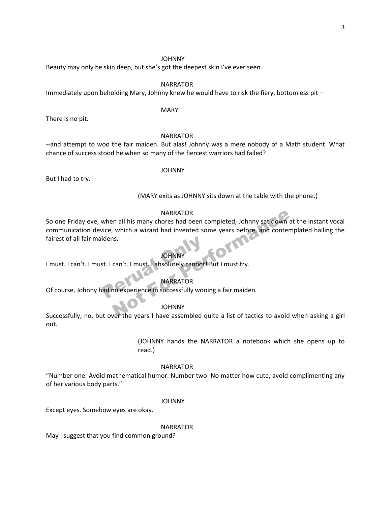Beauty may only be skin deep, but she's got the deepest skin I've ever seen.

#### NARRATOR

Immediately upon beholding Mary, Johnny knew he would have to risk the fiery, bottomless pit—

#### **MARY MARY**

There is no pit.

#### NARRATOR

--and attempt to woo the fair maiden. But alas! Johnny was a mere nobody of a Math student. What chance of success stood he when so many of the fiercest warriors had failed?

But I had to try.

#### JOHNNY

(MARY exits as JOHNNY sits down at the table with the phone.)

#### NARRATOR

So one Friday eve, when all his many chores had been completed, Johnny sat down at the instant vocal communication device, which a wizard had invented some years before, and contemplated hailing the fairest of all fair maidens. NARRATOR<br>
In all his many chores had been completed, Johnny sat down a<br>
which a wizard had invented some years before, and conter<br>
IS.<br>
IOHNNY<br>
Can't. I must, I absolutely cannot! But I must try.<br>
NARRATOR<br>
NARRATOR<br>
JOHNN

#### **JOHNNY**

I must. I can't. I must. I can't. I must. I absolutely cannot! But I must try. idens.<br>
JOHNNY<br>
st. I can't. I must. I absolutely cannot!<br>
NARRATOR<br>
MARRATOR<br>
MARRATOR

#### NARRATOR

Of course, Johnny had no experience in successfully wooing a fair maiden.

#### JOHNNY

Successfully, no, but over the years I have assembled quite a list of tactics to avoid when asking a girl out.

> (JOHNNY hands the NARRATOR a notebook which she opens up to read.)

#### NARRATOR

"Number one: Avoid mathematical humor. Number two: No matter how cute, avoid complimenting any of her various body parts."

#### JOHNNY

Except eyes. Somehow eyes are okay.

#### NARRATOR

May I suggest that you find common ground?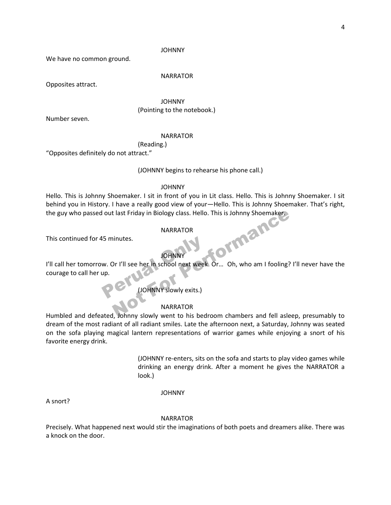We have no common ground.

#### NARRATOR

Opposites attract.

 JOHNNY (Pointing to the notebook.)

Number seven.

#### NARRATOR

(Reading.)

"Opposites definitely do not attract."

(JOHNNY begins to rehearse his phone call.)

#### JOHNNY

Hello. This is Johnny Shoemaker. I sit in front of you in Lit class. Hello. This is Johnny Shoemaker. I sit behind you in History. I have a really good view of your—Hello. This is Johnny Shoemaker. That's right, the guy who passed out last Friday in Biology class. Hello. This is Johnny Shoemaker. ormanc

#### NARRATOR

This continued for 45 minutes.

#### JOHNNY

I'll call her tomorrow. Or I'll see her in school next week. Or... Oh, who am I fooling? I'll never have the courage to call her up. This continued for 45 minutes.<br>
I JOHNNY<br>
I'll call her tomorrow. Or I'll see her in school next week<br>
courage to call her up.<br>
(JOHNNY slowly exits.)

#### NARRATOR

Humbled and defeated, Johnny slowly went to his bedroom chambers and fell asleep, presumably to dream of the most radiant of all radiant smiles. Late the afternoon next, a Saturday, Johnny was seated on the sofa playing magical lantern representations of warrior games while enjoying a snort of his favorite energy drink.

> (JOHNNY re-enters, sits on the sofa and starts to play video games while drinking an energy drink. After a moment he gives the NARRATOR a look.)

#### JOHNNY

A snort?

#### NARRATOR

Precisely. What happened next would stir the imaginations of both poets and dreamers alike. There was a knock on the door.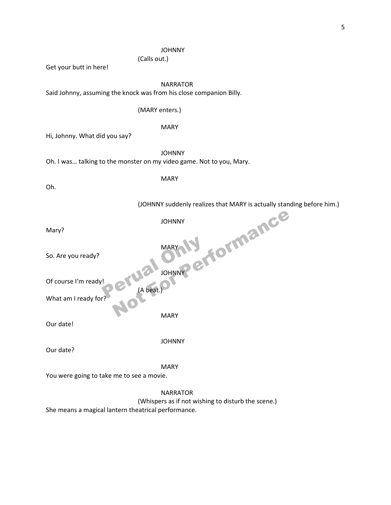(Calls out.)

Get your butt in here!

NARRATOR

Said Johnny, assuming the knock was from his close companion Billy.

#### (MARY enters.)

MARY

Hi, Johnny. What did you say?

JOHNNY

Oh. I was… talking to the monster on my video game. Not to you, Mary.

Oh.

MARY

(JOHNNY suddenly realizes that MARY is actually standing before him.)

| Mary?                                               | ormance<br><b>JOHNNY</b>                                              |
|-----------------------------------------------------|-----------------------------------------------------------------------|
| So. Are you ready?                                  | MAR)                                                                  |
| Of course I'm ready!<br>$(A \text{ beat.})$         | JOHNNY                                                                |
| What am I ready for                                 |                                                                       |
| Our date!                                           | <b>MARY</b>                                                           |
| Our date?                                           | <b>JOHNNY</b>                                                         |
| You were going to take me to see a movie.           | <b>MARY</b>                                                           |
| She means a magical lantern theatrical performance. | <b>NARRATOR</b><br>(Whispers as if not wishing to disturb the scene.) |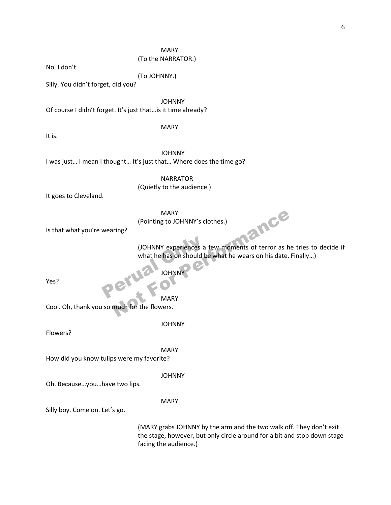#### MARY

#### (To the NARRATOR.)

No, I don't.

(To JOHNNY.)

Silly. You didn't forget, did you?

JOHNNY

Of course I didn't forget. It's just that…is it time already?

MARY

It is.

JOHNNY

I was just… I mean I thought… It's just that… Where does the time go?

 NARRATOR (Quietly to the audience.)

It goes to Cleveland.

MARY

(Pointing to JOHNNY's clothes.)

Is that what you're wearing?

(JOHNNY experiences a few moments of terror as he tries to decide if what he has on should be what he wears on his date. Finally…) (JOHNNY experiences a<br>what he has on should b<br>JOHNNY MARY<br>
(Pointing to JOHNNY's clothes.)<br>
(JOHNNY experiences a few moments of terror as h<br>
what he has on should be what he wears on his date.<br>
JOHNNY<br>
MARY<br>
MARY<br>
MARY<br>
MARY

Yes?

JOHNNY

MARY

Cool. Oh, thank you so much for the flowers.

JOHNNY

Flowers?

MARY

How did you know tulips were my favorite?

JOHNNY

Oh. Because…you…have two lips.

MARY

Silly boy. Come on. Let's go.

(MARY grabs JOHNNY by the arm and the two walk off. They don't exit the stage, however, but only circle around for a bit and stop down stage facing the audience.)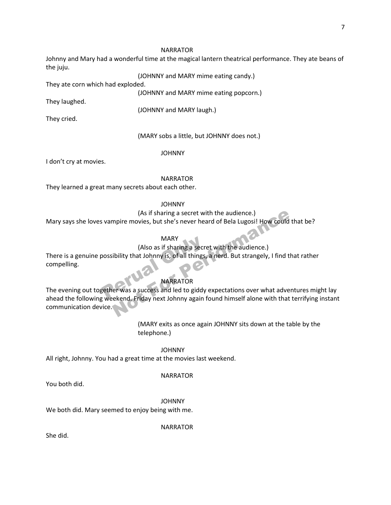#### NARRATOR

Johnny and Mary had a wonderful time at the magical lantern theatrical performance. They ate beans of the juju.

(JOHNNY and MARY mime eating candy.)

They ate corn which had exploded.

(JOHNNY and MARY mime eating popcorn.)

They laughed.

(JOHNNY and MARY laugh.)

They cried.

#### (MARY sobs a little, but JOHNNY does not.)

JOHNNY

I don't cry at movies.

#### NARRATOR

They learned a great many secrets about each other.

#### JOHNNY

(As if sharing a secret with the audience.)

Mary says she loves vampire movies, but she's never heard of Bela Lugosi! How could that be?

#### MARY

#### (Also as if sharing a secret with the audience.)

There is a genuine possibility that Johnny is, of all things, a nerd. But strangely, I find that rather compelling. MARY<br>
(Also as if sharing a secre<br>
possibility that Johnny is, of all things,<br>
NARRATOR<br>
REFERENCES and led to giddy<br>
NARRATOR<br>
NARRATOR<br>
NARRATOR<br>
NARRATOR

#### NARRATOR

The evening out together was a success and led to giddy expectations over what adventures might lay ahead the following weekend. Friday next Johnny again found himself alone with that terrifying instant communication device. (As if sharing a secret with the audience.)<br>
mpire movies, but she's never heard of Bela Lugosi! How could<br>
MARY<br>
(Also as if sharing a secret with the audience.)<br>
ibility that Johnny is, of all things, a nerd. But strange

> (MARY exits as once again JOHNNY sits down at the table by the telephone.)

#### JOHNNY

All right, Johnny. You had a great time at the movies last weekend.

#### NARRATOR

You both did.

JOHNNY

We both did. Mary seemed to enjoy being with me.

NARRATOR

She did.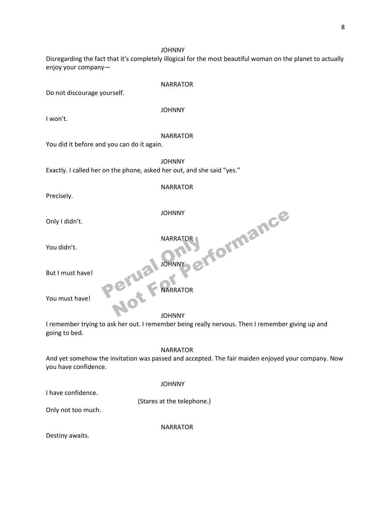Disregarding the fact that it's completely illogical for the most beautiful woman on the planet to actually enjoy your company—

Do not discourage yourself.

#### JOHNNY

I won't.

NARRATOR

#### NARRATOR

You did it before and you can do it again.

JOHNNY

**NARRATOR** 

**JOHNNY** 

**JOHNNY** Exactly. I called her on the phone, asked her out, and she said "yes." NARRATOR

Precisely.

Only I didn't.

You didn't.

But I must have!

NARRATOR NARRATOR NOT PERFORMANCE

You must have!

JOHNNY

I remember trying to ask her out. I remember being really nervous. Then I remember giving up and going to bed.

#### NARRATOR

And yet somehow the invitation was passed and accepted. The fair maiden enjoyed your company. Now you have confidence.

#### JOHNNY

I have confidence.

(Stares at the telephone.)

Only not too much.

NARRATOR

Destiny awaits.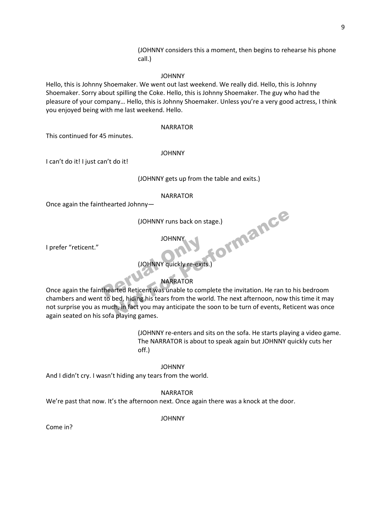(JOHNNY considers this a moment, then begins to rehearse his phone call.)

JOHNNY

Hello, this is Johnny Shoemaker. We went out last weekend. We really did. Hello, this is Johnny Shoemaker. Sorry about spilling the Coke. Hello, this is Johnny Shoemaker. The guy who had the pleasure of your company… Hello, this is Johnny Shoemaker. Unless you're a very good actress, I think you enjoyed being with me last weekend. Hello.

#### NARRATOR

This continued for 45 minutes.

#### JOHNNY

I can't do it! I just can't do it!

(JOHNNY gets up from the table and exits.)

#### NARRATOR

Once again the fainthearted Johnny—

 (JOHNNY runs back on stage.) tormance

JOHNNY

I prefer "reticent."

#### (JOHNNY quickly re-exits.)

#### NARRATOR

OHNNY<br>
(JOHNNY quickly re-exits.)<br>
MARRATOR<br>
Once again the fainthearted Reticent was unable to complete the invitation. He ran to his bedroom<br>
chambers and went to bed, biding bis tears from the world. The next afternoon, chambers and went to bed, hiding his tears from the world. The next afternoon, now this time it may not surprise you as much, in fact you may anticipate the soon to be turn of events, Reticent was once again seated on his sofa playing games.

> (JOHNNY re-enters and sits on the sofa. He starts playing a video game. The NARRATOR is about to speak again but JOHNNY quickly cuts her off.)

> > JOHNNY

And I didn't cry. I wasn't hiding any tears from the world.

NARRATOR

We're past that now. It's the afternoon next. Once again there was a knock at the door.

JOHNNY

Come in?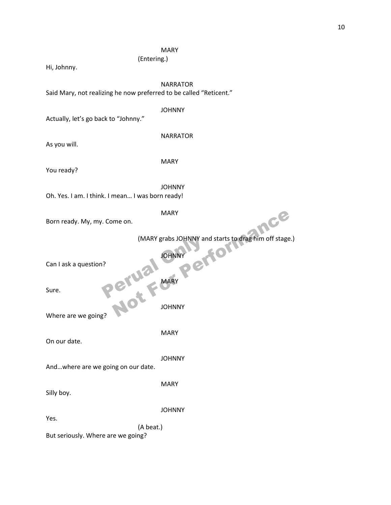#### MARY

(Entering.)

Hi, Johnny.

NARRATOR

Said Mary, not realizing he now preferred to be called "Reticent."

#### JOHNNY

Actually, let's go back to "Johnny."

As you will.

MARY

NARRATOR

You ready?

 JOHNNY Oh. Yes. I am. I think. I mean… I was born ready!

MARY

| Born ready. My, my. Come on.                    | <b>MARY</b><br>nce                                  |
|-------------------------------------------------|-----------------------------------------------------|
|                                                 | (MARY grabs JOHNNY and starts to drag him off stage |
| Can I ask a question?                           | <b>JOHNNY</b>                                       |
| Peruai<br>Sure.                                 |                                                     |
| Where are we going?                             | <b>JOHNNY</b>                                       |
| On our date.                                    | <b>MARY</b>                                         |
| Andwhere are we going on our date.              | <b>JOHNNY</b>                                       |
| Silly boy.                                      | <b>MARY</b>                                         |
| Yes.                                            | <b>JOHNNY</b>                                       |
| (A beat.)<br>But seriously. Where are we going? |                                                     |
|                                                 |                                                     |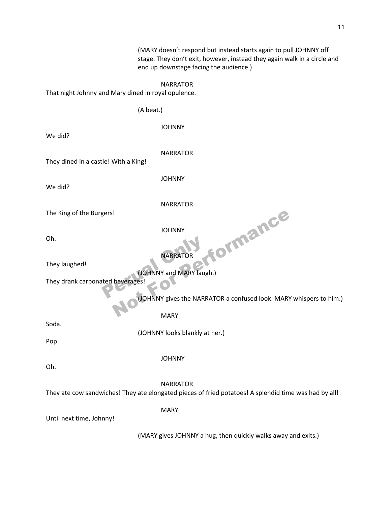(MARY doesn't respond but instead starts again to pull JOHNNY off stage. They don't exit, however, instead they again walk in a circle and end up downstage facing the audience.)

#### NARRATOR

That night Johnny and Mary dined in royal opulence.

(A beat.)

JOHNNY

We did?

NARRATOR

They dined in a castle! With a King!

We did?

JOHNNY

NARRATOR

The King of the Burgers!

JOHNNY

Oh.

NARRATOR

They laughed!

(JOHNNY and MARY laugh.)

They drank carbonated beverages! NARRATOR<br>(JOHNNY and MARY laughted beverages!

(JOHNNY gives the NARRATOR a confused look. MARY whispers to him.)

tormance

MARY

Soda.

(JOHNNY looks blankly at her.)

Pop.

JOHNNY

Oh.

NARRATOR

They ate cow sandwiches! They ate elongated pieces of fried potatoes! A splendid time was had by all!

MARY

Until next time, Johnny!

(MARY gives JOHNNY a hug, then quickly walks away and exits.)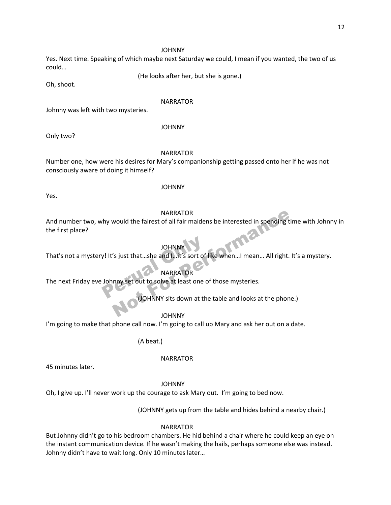Yes. Next time. Speaking of which maybe next Saturday we could, I mean if you wanted, the two of us could…

(He looks after her, but she is gone.)

Oh, shoot.

#### NARRATOR

Johnny was left with two mysteries.

#### JOHNNY

Only two?

#### NARRATOR

Number one, how were his desires for Mary's companionship getting passed onto her if he was not consciously aware of doing it himself?

JOHNNY

Yes.

#### NARRATOR

And number two, why would the fairest of all fair maidens be interested in spending time with Johnny in the first place? NARRATOR<br>
Solution is pending to the fairest of all fair maidens be interested in spending to<br>
JOHNNY<br>
Solution and I...it's sort of like when...I mean... All right.<br>
NARRATOR<br>
NARRATOR<br>
NARRATOR<br>
NARRATOR<br>
JOHNNY sits dow

#### **JOHNNY**

That's not a mystery! It's just that…she and I…it's sort of like when…I mean… All right. It's a mystery. JOHNNY<br>
Y! It's just that...she and I...it's sort of<br>
NARRATOR<br>
Johnny set out to solve at least one of

#### NARRATOR

The next Friday eve Johnny set out to solve at least one of those mysteries.

(JOHNNY sits down at the table and looks at the phone.)

JOHNNY

I'm going to make that phone call now. I'm going to call up Mary and ask her out on a date.

(A beat.)

#### NARRATOR

45 minutes later.

JOHNNY

Oh, I give up. I'll never work up the courage to ask Mary out. I'm going to bed now.

(JOHNNY gets up from the table and hides behind a nearby chair.)

#### NARRATOR

But Johnny didn't go to his bedroom chambers. He hid behind a chair where he could keep an eye on the instant communication device. If he wasn't making the hails, perhaps someone else was instead. Johnny didn't have to wait long. Only 10 minutes later…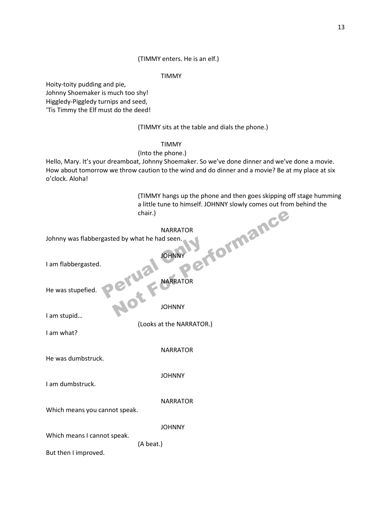(TIMMY enters. He is an elf.)

TIMMY

Hoity-toity pudding and pie, Johnny Shoemaker is much too shy! Higgledy-Piggledy turnips and seed, 'Tis Timmy the Elf must do the deed!

(TIMMY sits at the table and dials the phone.)

#### TIMMY

#### (Into the phone.)

Hello, Mary. It's your dreamboat, Johnny Shoemaker. So we've done dinner and we've done a movie. How about tomorrow we throw caution to the wind and do dinner and a movie? Be at my place at six o'clock. Aloha!

> (TIMMY hangs up the phone and then goes skipping off stage humming a little tune to himself. JOHNNY slowly comes out from behind the chair.) efformance"

#### NARRATOR

Johnny was flabbergasted by what he had seen.

 JOHNNY I am flabbergasted. NARRATOR NARRATOR He was stupefied. JOHNNY I am stupid… (Looks at the NARRATOR.) I am what? NARRATOR He was dumbstruck. JOHNNY I am dumbstruck. NARRATOR Which means you cannot speak. JOHNNY Which means I cannot speak. (A beat.) But then I improved. Basted by what he had seen.